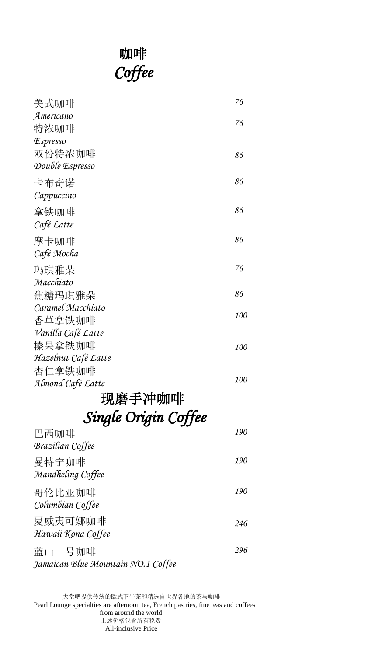# **咖啡**  *Coffee*

| 美式咖啡                               | 76  |
|------------------------------------|-----|
| Americano                          |     |
| 特浓咖啡                               | 76  |
| <i><b>Espresso</b></i>             |     |
| 双份特浓咖啡                             | 86  |
| Double Espresso                    |     |
| 卡布奇诺                               | 86  |
| Cappuccino                         |     |
| 拿铁咖啡                               | 86  |
| Café Latte                         |     |
| 摩卡咖啡                               | 86  |
| Café Mocha                         |     |
| 玛琪雅朵                               | 76  |
| Macchiato                          |     |
| 焦糖玛琪雅朵                             | 86  |
| Caramel Macchiato                  | 100 |
| 香草拿铁咖啡                             |     |
| Vanilla Café Latte                 |     |
| 榛果拿铁咖啡                             | 100 |
| Hazelnut Café Latte                |     |
| 杏仁拿铁咖啡                             | 100 |
| Almond Café Latte                  |     |
| 现磨手冲咖啡                             |     |
| Single Origin Coffee               |     |
| 巴西咖啡                               | 190 |
| <b>Brazilian Coffee</b>            |     |
| 曼特宁咖啡                              | 190 |
| Mandheling Coffee                  |     |
| 哥伦比亚咖啡                             | 190 |
| Columbian Coffee                   |     |
| 夏威夷可娜咖啡                            | 246 |
| Hawaii Kona Coffee                 |     |
| 蓝山一号咖啡                             | 296 |
| Jamaican Blue Mountain NO.1 Coffee |     |
|                                    |     |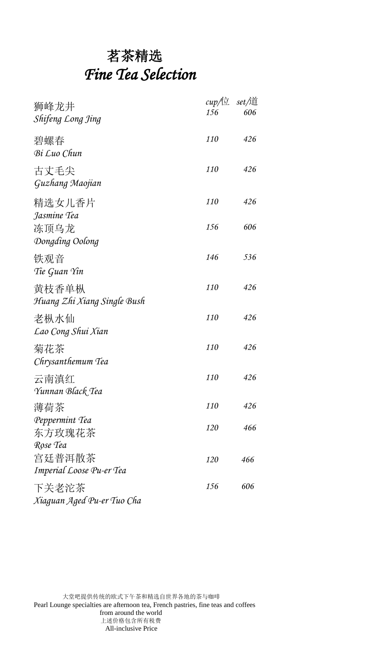## 茗茶精选 *Fine Tea Selection*

| 狮峰龙井<br>Shifeng Long Jing            | $cup/\pm$<br>156 | <i>set/</i> 道<br>606 |
|--------------------------------------|------------------|----------------------|
| 碧螺春<br>Bi Luo Chun                   | <i>110</i>       | 426                  |
| 古丈毛尖<br>Guzhang Maojian              | 110              | 426                  |
| 精选女儿香片<br>Jasmine Tea                | <i>110</i>       | 426                  |
| 冻顶乌龙<br>Dongding Oolong              | 156              | 606                  |
| 铁观音<br>Tie Guan Yin                  | 146              | 536                  |
| 黄枝香单枞<br>Huang Zhi Xiang Single Bush | <i>110</i>       | 426                  |
| 老枞水仙<br>Lao Cong Shui Xian           | <i>110</i>       | 426                  |
| 菊花茶<br>Chrysanthemum Tea             | 110              | 426                  |
| 云南滇红<br>Yunnan Black Tea             | 110              | 426                  |
| 薄荷茶                                  | 110              | 426                  |
| Peppermint Tea<br>东方玫瑰花茶<br>Rose Tea | 120              | 466                  |
| 宫廷普洱散茶<br>Imperial Loose Pu-er Tea   | 120              | 466                  |
| 下关老沱茶<br>Xiaguan Aged Pu-er Tuo Cha  | 156              | 606                  |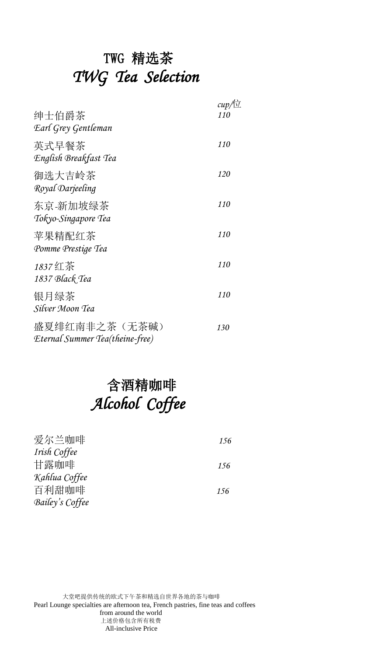## TWG 精选茶 *TWG Tea Selection*

|                                                   | $cup/\sqrt{\pm}$ |
|---------------------------------------------------|------------------|
| 绅士伯爵茶<br>Earl Grey Gentleman                      | 110              |
| 英式早餐茶<br>English Breakfast Tea                    | 110              |
| 御选大吉岭茶<br>Royal Darjeeling                        | 120              |
| 东京-新加坡绿茶<br>Tokyo-Singapore Tea                   | <i>110</i>       |
| 苹果精配红茶<br>Pomme Prestige Tea                      | <i>110</i>       |
| 1837红茶<br>1837 Black Tea                          | 110              |
| 银月绿茶<br>Silver Moon Tea                           | 110              |
| 盛夏绯红南非之茶 (无茶碱)<br>Eternal Summer Tea(theine-free) | 130              |

## 含酒精咖啡 *Alcohol Coffee*

| 爱尔兰咖啡           | 156 |
|-----------------|-----|
| Irish Coffee    |     |
| 甘露咖啡            | 156 |
| Kahlua Coffee   |     |
| 百利甜咖啡           | 156 |
| Bailey's Coffee |     |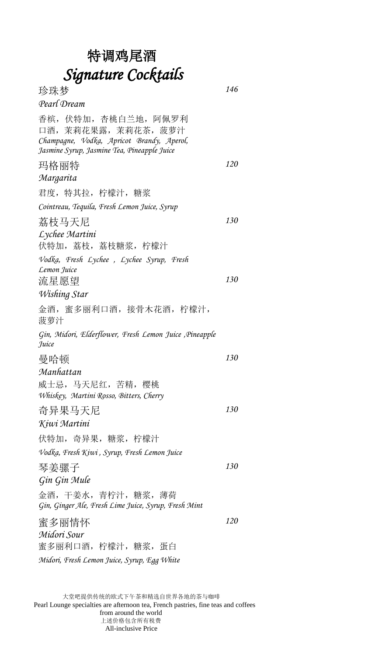#### 特调鸡尾酒 *Signature Cocktails*

珍珠梦 *Pearl Dream* 香槟,伏特加,杏桃白兰地,阿佩罗利 口酒,茉莉花果露,茉莉花茶,菠萝汁 *Champagne, Vodka, Apricot Brandy, Aperol, Jasmine Syrup, Jasmine Tea, Pineapple Juice 146*  玛格丽特 *Margarita* 君度,特其拉,柠檬汁,糖浆 *Cointreau, Tequila, Fresh Lemon Juice, Syrup 120*  荔枝马天尼 *Lychee Martini* 伏特加,荔枝,荔枝糖浆,柠檬汁 *Vodka, Fresh Lychee , Lychee Syrup, Fresh Lemon Juice 130*  流星愿望 *Wishing Star* 金酒,蜜多丽利口酒,接骨木花酒,柠檬汁, 菠萝汁 *Gin, Midori, Elderflower, Fresh Lemon Juice ,Pineapple Juice 130*  曼哈顿 *Manhattan* 威士忌,马天尼红,苦精,樱桃 *Whiskey, Martini Rosso, Bitters, Cherry 130*  奇异果马天尼 *Kiwi Martini* 伏特加,奇异果,糖浆,柠檬汁 *Vodka, Fresh Kiwi , Syrup, Fresh Lemon Juice 130*  琴姜骡子 *Gin Gin Mule*  金酒,干姜水,青柠汁,糖浆,薄荷 *Gin, Ginger Ale, Fresh Lime Juice, Syrup, Fresh Mint 130*  蜜多丽情怀 *Midori Sour* 蜜多丽利口酒,柠檬汁,糖浆,蛋白 *Midori, Fresh Lemon Juice, Syrup, Egg White 120*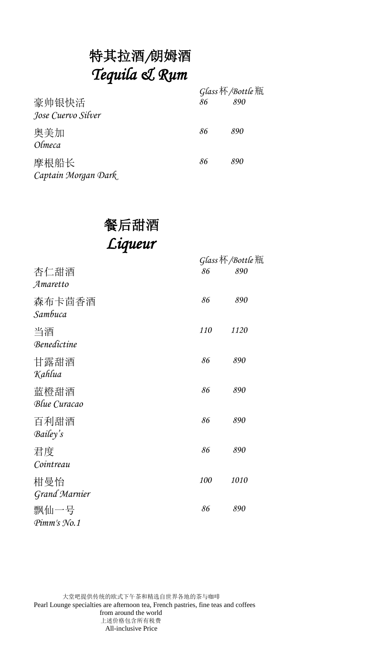## 特其拉酒*/*朗姆酒 *Tequila & Rum*

| 豪帅银快活<br>Jose Cuervo Silver | 86 | Glass 杯/Bottle 瓶<br>890 |
|-----------------------------|----|-------------------------|
| 奥美加<br>Olmeca               | 86 | 890                     |
| 摩根船长<br>Captain Morgan Dark | 86 | 890                     |

#### 餐后甜酒 *Liqueur*

|                                    |     | Glass杯/Bottle瓶 |  |
|------------------------------------|-----|----------------|--|
| 杏仁甜酒<br>Amaretto                   | 86  | 890            |  |
| 森布卡茴香酒<br>Sambuca                  | 86  | 890            |  |
| 当酒<br>Benedictine                  | 110 | <i>1120</i>    |  |
| 甘露甜酒<br>Kahlua                     | 86  | 890            |  |
| 蓝橙甜酒<br>Blue Curacao               | 86  | 890            |  |
| 百利甜酒<br>Bailey's                   | 86  | 890            |  |
| 君度<br>Cointreau                    | 86  | 890            |  |
| 柑曼怡<br><b>Grand Marnier</b>        | 100 | 1010           |  |
| 飘仙一号<br>$P_{\rm i}$ mm's $N_{0.1}$ | 86  | 890            |  |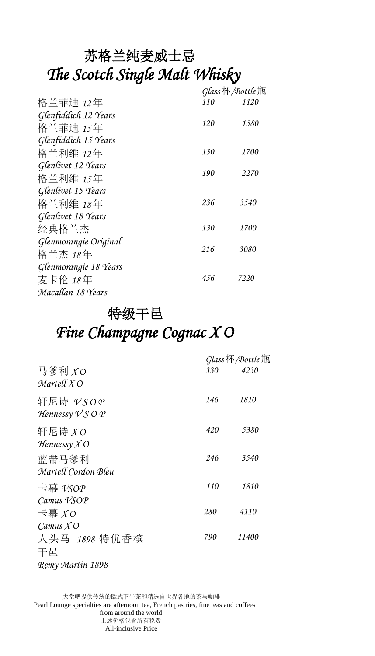#### 苏格兰纯麦威士忌 *The Scotch Single Malt Whisky*

|                       |     | Glass杯/Bottle瓶 |  |
|-----------------------|-----|----------------|--|
| 格兰菲迪 12年              | 110 | 1120           |  |
| Glenfiddich 12 Years  |     |                |  |
| 格兰菲迪 15年              | 120 | 1580           |  |
| Glenfiddich 15 Years  |     |                |  |
| 格兰利维 12年              | 130 | <i>1700</i>    |  |
| Glenlivet 12 Years    |     |                |  |
| 格兰利维 15年              | 190 | 2270           |  |
| Glenlivet 15 Years    |     |                |  |
| 格兰利维 18年              | 236 | 3540           |  |
| Glenlivet 18 Years    |     |                |  |
| 经典格兰杰                 | 130 | 1700           |  |
| Glenmorangie Original |     |                |  |
| 格兰杰 18年               | 216 | 3080           |  |
| Glenmorangie 18 Years |     |                |  |
| 麦卡伦 18年               | 456 | 7220           |  |
| Macallan 18 Years     |     |                |  |
|                       |     |                |  |

#### 特级干邑 *Fine Champagne Cognac X O*

|                                                                        |            | Glass 杯/Bottle 瓶 |  |
|------------------------------------------------------------------------|------------|------------------|--|
| 马爹利 XO<br>Martell X O                                                  | 330        | 4230             |  |
| 轩尼诗 vsoe<br>Hennessy $\mathcal{V} \mathcal{S} \mathcal{O} \mathcal{P}$ | 146        | 1810             |  |
| 轩尼诗 $XO$<br>$H$ ennessy $X$ O                                          | 420        | 5380             |  |
| 蓝带马爹利<br>Martell Cordon Bleu                                           | 246        | 3540             |  |
| 卡幕 vsoe<br>Camus <i>VSOP</i>                                           | <i>110</i> | 1810             |  |
| 卡幕 $XO$<br>Camus $X$ O                                                 | 280        | 4110             |  |
| 人头马 1898 特优香槟<br>干邑                                                    | 790        | 11400            |  |
| Remy Martin 1898                                                       |            |                  |  |